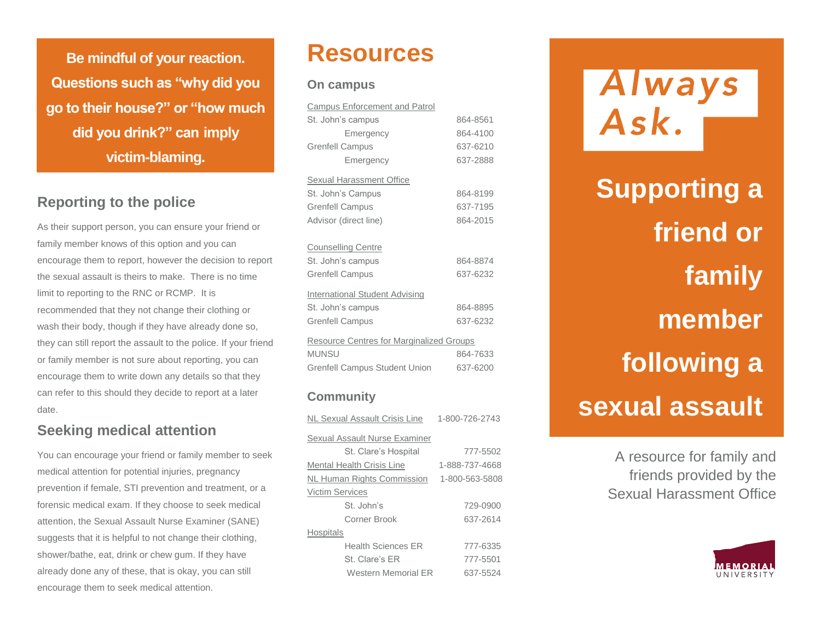**Be mindful of your reaction. Questions such as "why did you go to their house?" or "how much did you drink?" can imply victim-blaming.** 

## **Reporting to the police**

As their support person, you can ensure your friend or family member knows of this option and you can encourage them to report, however the decision to report the sexual assault is theirs to make. There is no time limit to reporting to the RNC or RCMP. It is recommended that they not change their clothing or wash their body, though if they have already done so, they can still report the assault to the police. If your friend or family member is not sure about reporting, you can encourage them to write down any details so that they can refer to this should they decide to report at a later date.

## **Seeking medical attention**

You can encourage your friend or family member to seek medical attention for potential injuries, pregnancy prevention if female, STI prevention and treatment, or a forensic medical exam. If they choose to seek medical attention, the Sexual Assault Nurse Examiner (SANE) suggests that it is helpful to not change their clothing, shower/bathe, eat, drink or chew gum. If they have already done any of these, that is okay, you can still encourage them to seek medical attention.

## **Resources**

#### **On campus**

| <b>Campus Enforcement and Patrol</b>            |          |
|-------------------------------------------------|----------|
| St. John's campus                               | 864-8561 |
| Emergency                                       | 864-4100 |
| <b>Grenfell Campus</b>                          | 637-6210 |
| Emergency                                       | 637-2888 |
| Sexual Harassment Office                        |          |
| St. John's Campus                               | 864-8199 |
| <b>Grenfell Campus</b>                          | 637-7195 |
| Advisor (direct line)                           | 864-2015 |
| <b>Counselling Centre</b>                       |          |
| St. John's campus                               | 864-8874 |
| <b>Grenfell Campus</b>                          | 637-6232 |
| International Student Advising                  |          |
| St. John's campus                               | 864-8895 |
| <b>Grenfell Campus</b>                          | 637-6232 |
| <b>Resource Centres for Marginalized Groups</b> |          |
| <b>MUNSU</b>                                    | 864-7633 |
| <b>Grenfell Campus Student Union</b>            | 637-6200 |
|                                                 |          |

### **Community**

| NL Sexual Assault Crisis Line    | 1-800-726-2743 |
|----------------------------------|----------------|
| Sexual Assault Nurse Examiner    |                |
| St. Clare's Hospital             | 777-5502       |
| <b>Mental Health Crisis Line</b> | 1-888-737-4668 |
| NL Human Rights Commission       | 1-800-563-5808 |
| <b>Victim Services</b>           |                |
| St. John's                       | 729-0900       |
| Corner Brook                     | 637-2614       |
| <b>Hospitals</b>                 |                |
| <b>Health Sciences FR</b>        | 777-6335       |
| St. Clare's FR                   | 777-5501       |
| Western Memorial FR              | 637-5524       |

Always<br>Ask.

**Supporting a friend or family member following a sexual assault**

> A resource for family and friends provided by the Sexual Harassment Office